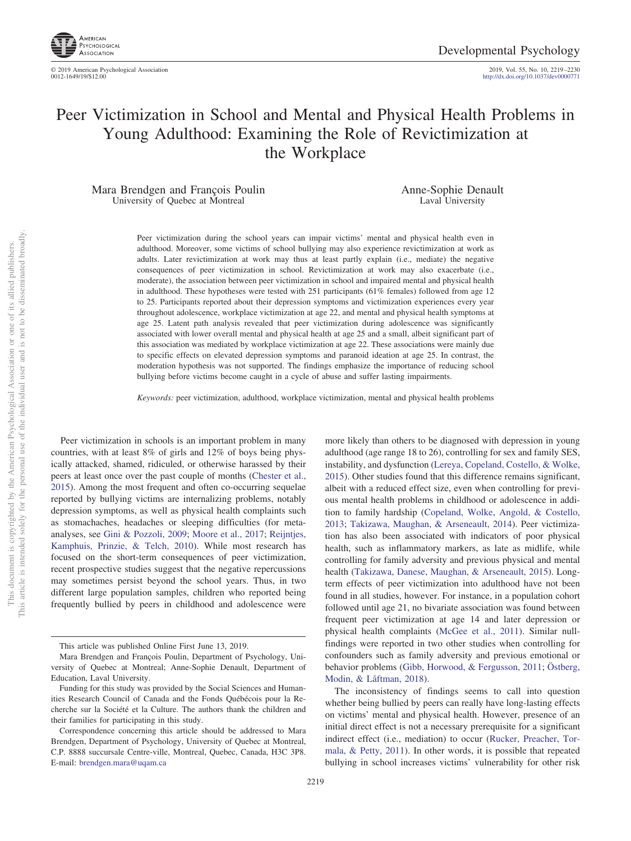

http://dx.doi.org[/10.1037/dev0000771](http://dx.doi.org/10.1037/dev0000771)

# Peer Victimization in School and Mental and Physical Health Problems in Young Adulthood: Examining the Role of Revictimization at the Workplace

Mara Brendgen and François Poulin University of Quebec at Montreal

Anne-Sophie Denault Laval University

Peer victimization during the school years can impair victims' mental and physical health even in adulthood. Moreover, some victims of school bullying may also experience revictimization at work as adults. Later revictimization at work may thus at least partly explain (i.e., mediate) the negative consequences of peer victimization in school. Revictimization at work may also exacerbate (i.e., moderate), the association between peer victimization in school and impaired mental and physical health in adulthood. These hypotheses were tested with 251 participants (61% females) followed from age 12 to 25. Participants reported about their depression symptoms and victimization experiences every year throughout adolescence, workplace victimization at age 22, and mental and physical health symptoms at age 25. Latent path analysis revealed that peer victimization during adolescence was significantly associated with lower overall mental and physical health at age 25 and a small, albeit significant part of this association was mediated by workplace victimization at age 22. These associations were mainly due to specific effects on elevated depression symptoms and paranoid ideation at age 25. In contrast, the moderation hypothesis was not supported. The findings emphasize the importance of reducing school bullying before victims become caught in a cycle of abuse and suffer lasting impairments.

*Keywords:* peer victimization, adulthood, workplace victimization, mental and physical health problems

Peer victimization in schools is an important problem in many countries, with at least 8% of girls and 12% of boys being physically attacked, shamed, ridiculed, or otherwise harassed by their peers at least once over the past couple of months [\(Chester et al.,](#page-9-0) [2015\)](#page-9-0). Among the most frequent and often co-occurring sequelae reported by bullying victims are internalizing problems, notably depression symptoms, as well as physical health complaints such as stomachaches, headaches or sleeping difficulties (for metaanalyses, see [Gini & Pozzoli, 2009;](#page-9-1) [Moore et al., 2017;](#page-10-0) [Reijntjes,](#page-10-1) [Kamphuis, Prinzie, & Telch, 2010\)](#page-10-1). While most research has focused on the short-term consequences of peer victimization, recent prospective studies suggest that the negative repercussions may sometimes persist beyond the school years. Thus, in two different large population samples, children who reported being frequently bullied by peers in childhood and adolescence were more likely than others to be diagnosed with depression in young adulthood (age range 18 to 26), controlling for sex and family SES, instability, and dysfunction [\(Lereya, Copeland, Costello, & Wolke,](#page-9-2) [2015\)](#page-9-2). Other studies found that this difference remains significant, albeit with a reduced effect size, even when controlling for previous mental health problems in childhood or adolescence in addition to family hardship [\(Copeland, Wolke, Angold, & Costello,](#page-9-3) [2013;](#page-9-3) [Takizawa, Maughan, & Arseneault, 2014\)](#page-10-2). Peer victimization has also been associated with indicators of poor physical health, such as inflammatory markers, as late as midlife, while controlling for family adversity and previous physical and mental health [\(Takizawa, Danese, Maughan, & Arseneault, 2015\)](#page-10-3). Longterm effects of peer victimization into adulthood have not been found in all studies, however. For instance, in a population cohort followed until age 21, no bivariate association was found between frequent peer victimization at age 14 and later depression or physical health complaints [\(McGee et al., 2011\)](#page-10-4). Similar nullfindings were reported in two other studies when controlling for confounders such as family adversity and previous emotional or behavior problems [\(Gibb, Horwood, & Fergusson, 2011;](#page-9-4) [Östberg,](#page-10-5) [Modin, & Låftman, 2018\)](#page-10-5).

The inconsistency of findings seems to call into question whether being bullied by peers can really have long-lasting effects on victims' mental and physical health. However, presence of an initial direct effect is not a necessary prerequisite for a significant indirect effect (i.e., mediation) to occur [\(Rucker, Preacher, Tor](#page-10-6)[mala, & Petty, 2011\)](#page-10-6). In other words, it is possible that repeated bullying in school increases victims' vulnerability for other risk

This article was published Online First June 13, 2019.

Mara Brendgen and François Poulin, Department of Psychology, University of Quebec at Montreal; Anne-Sophie Denault, Department of Education, Laval University.

Funding for this study was provided by the Social Sciences and Humanities Research Council of Canada and the Fonds Québécois pour la Recherche sur la Société et la Culture. The authors thank the children and their families for participating in this study.

Correspondence concerning this article should be addressed to Mara Brendgen, Department of Psychology, University of Quebec at Montreal, C.P. 8888 succursale Centre-ville, Montreal, Quebec, Canada, H3C 3P8. E-mail: [brendgen.mara@uqam.ca](mailto:brendgen.mara@uqam.ca)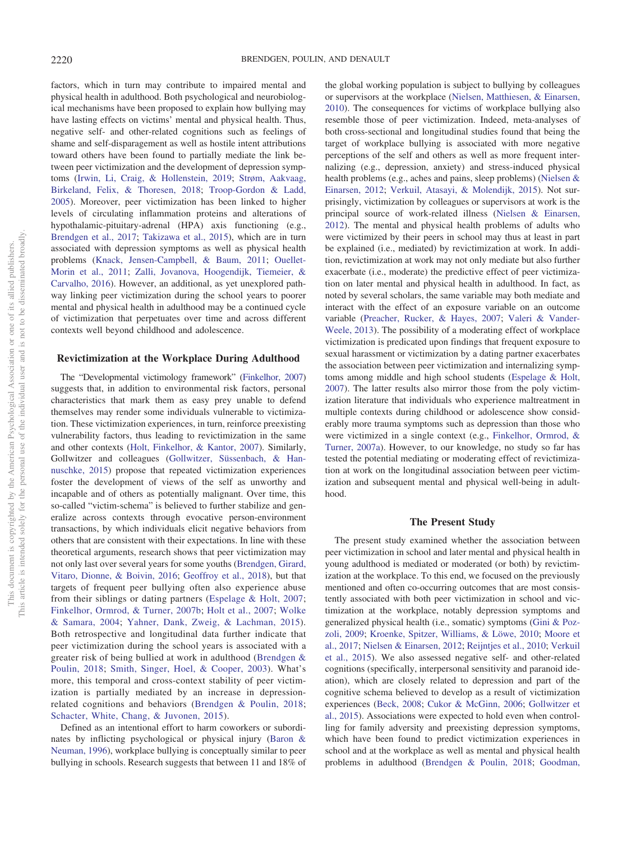factors, which in turn may contribute to impaired mental and physical health in adulthood. Both psychological and neurobiological mechanisms have been proposed to explain how bullying may have lasting effects on victims' mental and physical health. Thus, negative self- and other-related cognitions such as feelings of shame and self-disparagement as well as hostile intent attributions toward others have been found to partially mediate the link between peer victimization and the development of depression symptoms [\(Irwin, Li, Craig, & Hollenstein, 2019;](#page-9-5) [Strøm, Aakvaag,](#page-10-7) [Birkeland, Felix, & Thoresen, 2018;](#page-10-7) [Troop-Gordon & Ladd,](#page-10-8) [2005\)](#page-10-8). Moreover, peer victimization has been linked to higher levels of circulating inflammation proteins and alterations of hypothalamic-pituitary-adrenal (HPA) axis functioning (e.g., [Brendgen et al., 2017;](#page-8-0) [Takizawa et al., 2015\)](#page-10-3), which are in turn associated with depression symptoms as well as physical health problems [\(Knack, Jensen-Campbell, & Baum, 2011;](#page-9-6) [Ouellet-](#page-10-9)[Morin et al., 2011;](#page-10-9) [Zalli, Jovanova, Hoogendijk, Tiemeier, &](#page-11-0) [Carvalho, 2016\)](#page-11-0). However, an additional, as yet unexplored pathway linking peer victimization during the school years to poorer mental and physical health in adulthood may be a continued cycle of victimization that perpetuates over time and across different contexts well beyond childhood and adolescence.

## **Revictimization at the Workplace During Adulthood**

The "Developmental victimology framework" [\(Finkelhor, 2007\)](#page-9-7) suggests that, in addition to environmental risk factors, personal characteristics that mark them as easy prey unable to defend themselves may render some individuals vulnerable to victimization. These victimization experiences, in turn, reinforce preexisting vulnerability factors, thus leading to revictimization in the same and other contexts [\(Holt, Finkelhor, & Kantor, 2007\)](#page-9-8). Similarly, Gollwitzer and colleagues [\(Gollwitzer, Süssenbach, & Han](#page-9-9)[nuschke, 2015\)](#page-9-9) propose that repeated victimization experiences foster the development of views of the self as unworthy and incapable and of others as potentially malignant. Over time, this so-called "victim-schema" is believed to further stabilize and generalize across contexts through evocative person-environment transactions, by which individuals elicit negative behaviors from others that are consistent with their expectations. In line with these theoretical arguments, research shows that peer victimization may not only last over several years for some youths [\(Brendgen, Girard,](#page-8-1) [Vitaro, Dionne, & Boivin, 2016;](#page-8-1) [Geoffroy et al., 2018\)](#page-9-10), but that targets of frequent peer bullying often also experience abuse from their siblings or dating partners [\(Espelage & Holt, 2007;](#page-9-11) [Finkelhor, Ormrod, & Turner, 2007b;](#page-9-12) [Holt et al., 2007;](#page-9-8) [Wolke](#page-11-1) [& Samara, 2004;](#page-11-1) [Yahner, Dank, Zweig, & Lachman, 2015\)](#page-11-2). Both retrospective and longitudinal data further indicate that peer victimization during the school years is associated with a greater risk of being bullied at work in adulthood [\(Brendgen &](#page-9-13) [Poulin, 2018;](#page-9-13) [Smith, Singer, Hoel, & Cooper, 2003\)](#page-10-10). What's more, this temporal and cross-context stability of peer victimization is partially mediated by an increase in depressionrelated cognitions and behaviors [\(Brendgen & Poulin, 2018;](#page-9-13) [Schacter, White, Chang, & Juvonen, 2015\)](#page-10-11).

Defined as an intentional effort to harm coworkers or subordinates by inflicting psychological or physical injury [\(Baron &](#page-8-2) [Neuman, 1996\)](#page-8-2), workplace bullying is conceptually similar to peer bullying in schools. Research suggests that between 11 and 18% of

the global working population is subject to bullying by colleagues or supervisors at the workplace [\(Nielsen, Matthiesen, & Einarsen,](#page-10-12) [2010\)](#page-10-12). The consequences for victims of workplace bullying also resemble those of peer victimization. Indeed, meta-analyses of both cross-sectional and longitudinal studies found that being the target of workplace bullying is associated with more negative perceptions of the self and others as well as more frequent internalizing (e.g., depression, anxiety) and stress-induced physical health problems (e.g., aches and pains, sleep problems) [\(Nielsen &](#page-10-13) [Einarsen, 2012;](#page-10-13) [Verkuil, Atasayi, & Molendijk, 2015\)](#page-10-14). Not surprisingly, victimization by colleagues or supervisors at work is the principal source of work-related illness [\(Nielsen & Einarsen,](#page-10-13) [2012\)](#page-10-13). The mental and physical health problems of adults who were victimized by their peers in school may thus at least in part be explained (i.e., mediated) by revictimization at work. In addition, revictimization at work may not only mediate but also further exacerbate (i.e., moderate) the predictive effect of peer victimization on later mental and physical health in adulthood. In fact, as noted by several scholars, the same variable may both mediate and interact with the effect of an exposure variable on an outcome variable [\(Preacher, Rucker, & Hayes, 2007;](#page-10-15) [Valeri & Vander-](#page-10-16)[Weele, 2013\)](#page-10-16). The possibility of a moderating effect of workplace victimization is predicated upon findings that frequent exposure to sexual harassment or victimization by a dating partner exacerbates the association between peer victimization and internalizing symptoms among middle and high school students [\(Espelage & Holt,](#page-9-11) [2007\)](#page-9-11). The latter results also mirror those from the poly victimization literature that individuals who experience maltreatment in multiple contexts during childhood or adolescence show considerably more trauma symptoms such as depression than those who were victimized in a single context (e.g., [Finkelhor, Ormrod, &](#page-9-14) [Turner, 2007a\)](#page-9-14). However, to our knowledge, no study so far has tested the potential mediating or moderating effect of revictimization at work on the longitudinal association between peer victimization and subsequent mental and physical well-being in adulthood.

#### **The Present Study**

The present study examined whether the association between peer victimization in school and later mental and physical health in young adulthood is mediated or moderated (or both) by revictimization at the workplace. To this end, we focused on the previously mentioned and often co-occurring outcomes that are most consistently associated with both peer victimization in school and victimization at the workplace, notably depression symptoms and generalized physical health (i.e., somatic) symptoms [\(Gini & Poz](#page-9-1)[zoli, 2009;](#page-9-1) [Kroenke, Spitzer, Williams, & Löwe, 2010;](#page-9-15) [Moore et](#page-10-0) [al., 2017;](#page-10-0) [Nielsen & Einarsen, 2012;](#page-10-13) [Reijntjes et al., 2010;](#page-10-1) [Verkuil](#page-10-14) [et al., 2015\)](#page-10-14). We also assessed negative self- and other-related cognitions (specifically, interpersonal sensitivity and paranoid ideation), which are closely related to depression and part of the cognitive schema believed to develop as a result of victimization experiences [\(Beck, 2008;](#page-8-3) [Cukor & McGinn, 2006;](#page-9-16) [Gollwitzer et](#page-9-9) [al., 2015\)](#page-9-9). Associations were expected to hold even when controlling for family adversity and preexisting depression symptoms, which have been found to predict victimization experiences in school and at the workplace as well as mental and physical health problems in adulthood [\(Brendgen & Poulin, 2018;](#page-9-13) [Goodman,](#page-9-17)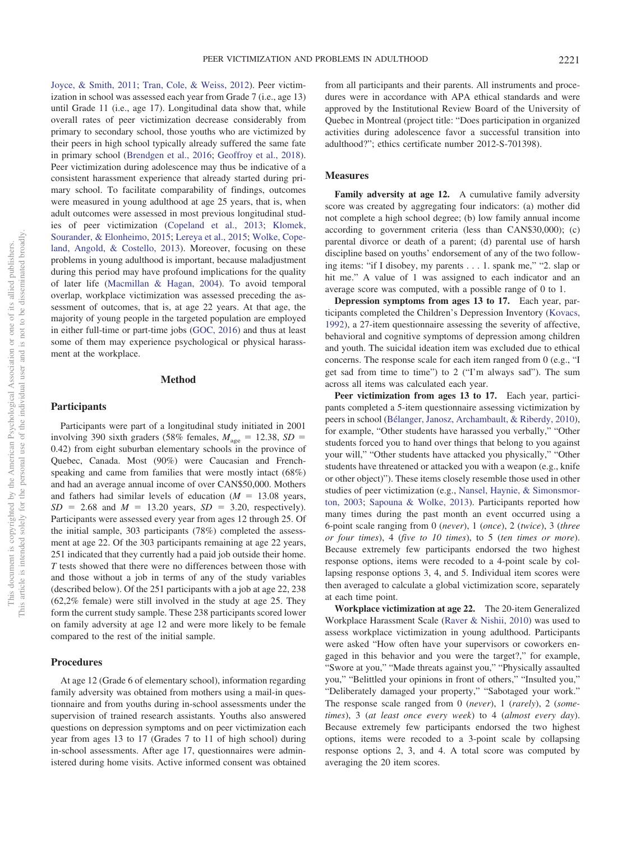[Joyce, & Smith, 2011;](#page-9-17) [Tran, Cole, & Weiss, 2012\)](#page-10-17). Peer victimization in school was assessed each year from Grade 7 (i.e., age 13) until Grade 11 (i.e., age 17). Longitudinal data show that, while overall rates of peer victimization decrease considerably from primary to secondary school, those youths who are victimized by their peers in high school typically already suffered the same fate in primary school [\(Brendgen et al., 2016;](#page-8-1) [Geoffroy et al., 2018\)](#page-9-10). Peer victimization during adolescence may thus be indicative of a consistent harassment experience that already started during primary school. To facilitate comparability of findings, outcomes were measured in young adulthood at age 25 years, that is, when adult outcomes were assessed in most previous longitudinal studies of peer victimization [\(Copeland et al., 2013;](#page-9-3) [Klomek,](#page-9-18) [Sourander, & Elonheimo, 2015;](#page-9-18) [Lereya et al., 2015;](#page-9-2) [Wolke, Cope](#page-10-18)[land, Angold, & Costello, 2013\)](#page-10-18). Moreover, focusing on these problems in young adulthood is important, because maladjustment during this period may have profound implications for the quality of later life [\(Macmillan & Hagan, 2004\)](#page-9-19). To avoid temporal overlap, workplace victimization was assessed preceding the assessment of outcomes, that is, at age 22 years. At that age, the majority of young people in the targeted population are employed in either full-time or part-time jobs [\(GOC, 2016\)](#page-9-20) and thus at least some of them may experience psychological or physical harassment at the workplace.

## **Method**

## **Participants**

Participants were part of a longitudinal study initiated in 2001 involving 390 sixth graders (58% females,  $M_{\text{age}} = 12.38$ ,  $SD =$ 0.42) from eight suburban elementary schools in the province of Quebec, Canada. Most (90%) were Caucasian and Frenchspeaking and came from families that were mostly intact (68%) and had an average annual income of over CAN\$50,000. Mothers and fathers had similar levels of education  $(M = 13.08$  years,  $SD = 2.68$  and  $M = 13.20$  years,  $SD = 3.20$ , respectively). Participants were assessed every year from ages 12 through 25. Of the initial sample, 303 participants (78%) completed the assessment at age 22. Of the 303 participants remaining at age 22 years, 251 indicated that they currently had a paid job outside their home. *T* tests showed that there were no differences between those with and those without a job in terms of any of the study variables (described below). Of the 251 participants with a job at age 22, 238 (62,2% female) were still involved in the study at age 25. They form the current study sample. These 238 participants scored lower on family adversity at age 12 and were more likely to be female compared to the rest of the initial sample.

# **Procedures**

At age 12 (Grade 6 of elementary school), information regarding family adversity was obtained from mothers using a mail-in questionnaire and from youths during in-school assessments under the supervision of trained research assistants. Youths also answered questions on depression symptoms and on peer victimization each year from ages 13 to 17 (Grades 7 to 11 of high school) during in-school assessments. After age 17, questionnaires were administered during home visits. Active informed consent was obtained

from all participants and their parents. All instruments and procedures were in accordance with APA ethical standards and were approved by the Institutional Review Board of the University of Quebec in Montreal (project title: "Does participation in organized activities during adolescence favor a successful transition into adulthood?"; ethics certificate number 2012-S-701398).

## **Measures**

**Family adversity at age 12.** A cumulative family adversity score was created by aggregating four indicators: (a) mother did not complete a high school degree; (b) low family annual income according to government criteria (less than CAN\$30,000); (c) parental divorce or death of a parent; (d) parental use of harsh discipline based on youths' endorsement of any of the two following items: "if I disobey, my parents . . . 1. spank me," "2. slap or hit me." A value of 1 was assigned to each indicator and an average score was computed, with a possible range of 0 to 1.

**Depression symptoms from ages 13 to 17.** Each year, participants completed the Children's Depression Inventory [\(Kovacs,](#page-9-21) [1992\)](#page-9-21), a 27-item questionnaire assessing the severity of affective, behavioral and cognitive symptoms of depression among children and youth. The suicidal ideation item was excluded due to ethical concerns. The response scale for each item ranged from 0 (e.g., "I get sad from time to time") to 2 ("I'm always sad"). The sum across all items was calculated each year.

**Peer victimization from ages 13 to 17.** Each year, participants completed a 5-item questionnaire assessing victimization by peers in school [\(Bélanger, Janosz, Archambault, & Riberdy, 2010\)](#page-8-4), for example, "Other students have harassed you verbally," "Other students forced you to hand over things that belong to you against your will," "Other students have attacked you physically," "Other students have threatened or attacked you with a weapon (e.g., knife or other object)"). These items closely resemble those used in other studies of peer victimization (e.g., [Nansel, Haynie, & Simonsmor](#page-10-19)[ton, 2003;](#page-10-19) [Sapouna & Wolke, 2013\)](#page-10-20). Participants reported how many times during the past month an event occurred using a 6-point scale ranging from 0 (*never*), 1 (*once*), 2 (*twice*), 3 (*three or four times*), 4 (*five to 10 times*), to 5 (*ten times or more*). Because extremely few participants endorsed the two highest response options, items were recoded to a 4-point scale by collapsing response options 3, 4, and 5. Individual item scores were then averaged to calculate a global victimization score, separately at each time point.

**Workplace victimization at age 22.** The 20-item Generalized Workplace Harassment Scale [\(Raver & Nishii, 2010\)](#page-10-21) was used to assess workplace victimization in young adulthood. Participants were asked "How often have your supervisors or coworkers engaged in this behavior and you were the target?," for example, "Swore at you," "Made threats against you," "Physically assaulted you," "Belittled your opinions in front of others," "Insulted you," "Deliberately damaged your property," "Sabotaged your work." The response scale ranged from 0 (*never*), 1 (*rarely*), 2 (*sometimes*), 3 (*at least once every week*) to 4 (*almost every day*). Because extremely few participants endorsed the two highest options, items were recoded to a 3-point scale by collapsing response options 2, 3, and 4. A total score was computed by averaging the 20 item scores.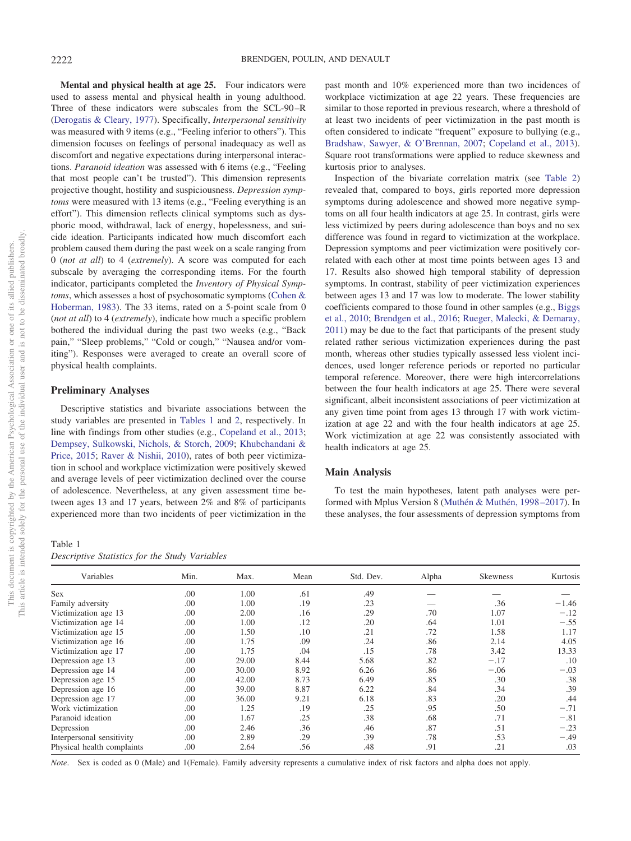**Mental and physical health at age 25.** Four indicators were used to assess mental and physical health in young adulthood. Three of these indicators were subscales from the SCL-90 –R [\(Derogatis & Cleary, 1977\)](#page-9-22). Specifically, *Interpersonal sensitivity* was measured with 9 items (e.g., "Feeling inferior to others"). This dimension focuses on feelings of personal inadequacy as well as discomfort and negative expectations during interpersonal interactions. *Paranoid ideation* was assessed with 6 items (e.g., "Feeling that most people can't be trusted"). This dimension represents projective thought, hostility and suspiciousness. *Depression symptoms* were measured with 13 items (e.g., "Feeling everything is an effort"). This dimension reflects clinical symptoms such as dysphoric mood, withdrawal, lack of energy, hopelessness, and suicide ideation. Participants indicated how much discomfort each problem caused them during the past week on a scale ranging from 0 (*not at all*) to 4 (*extremely*). A score was computed for each subscale by averaging the corresponding items. For the fourth indicator, participants completed the *Inventory of Physical Symptoms*, which assesses a host of psychosomatic symptoms [\(Cohen &](#page-9-23) [Hoberman, 1983\)](#page-9-23). The 33 items, rated on a 5-point scale from 0 (*not at all*) to 4 (*extremely*), indicate how much a specific problem bothered the individual during the past two weeks (e.g., "Back pain," "Sleep problems," "Cold or cough," "Nausea and/or vomiting"). Responses were averaged to create an overall score of physical health complaints.

## **Preliminary Analyses**

Descriptive statistics and bivariate associations between the study variables are presented in [Tables 1](#page-3-0) and [2,](#page-4-0) respectively. In line with findings from other studies (e.g., [Copeland et al., 2013;](#page-9-3) [Dempsey, Sulkowski, Nichols, & Storch, 2009;](#page-9-24) [Khubchandani &](#page-9-25) [Price, 2015;](#page-9-25) [Raver & Nishii, 2010\)](#page-10-21), rates of both peer victimization in school and workplace victimization were positively skewed and average levels of peer victimization declined over the course of adolescence. Nevertheless, at any given assessment time between ages 13 and 17 years, between 2% and 8% of participants experienced more than two incidents of peer victimization in the

# <span id="page-3-0"></span>Table 1

| Descriptive Statistics for the Study Variables |  |  |  |  |
|------------------------------------------------|--|--|--|--|
|------------------------------------------------|--|--|--|--|

past month and 10% experienced more than two incidences of workplace victimization at age 22 years. These frequencies are similar to those reported in previous research, where a threshold of at least two incidents of peer victimization in the past month is often considered to indicate "frequent" exposure to bullying (e.g., [Bradshaw, Sawyer, & O'Brennan, 2007;](#page-8-5) [Copeland et al., 2013\)](#page-9-3). Square root transformations were applied to reduce skewness and kurtosis prior to analyses.

Inspection of the bivariate correlation matrix (see [Table 2\)](#page-4-0) revealed that, compared to boys, girls reported more depression symptoms during adolescence and showed more negative symptoms on all four health indicators at age 25. In contrast, girls were less victimized by peers during adolescence than boys and no sex difference was found in regard to victimization at the workplace. Depression symptoms and peer victimization were positively correlated with each other at most time points between ages 13 and 17. Results also showed high temporal stability of depression symptoms. In contrast, stability of peer victimization experiences between ages 13 and 17 was low to moderate. The lower stability coefficients compared to those found in other samples (e.g., [Biggs](#page-8-6) [et al., 2010;](#page-8-6) [Brendgen et al., 2016;](#page-8-1) [Rueger, Malecki, & Demaray,](#page-10-22) [2011\)](#page-10-22) may be due to the fact that participants of the present study related rather serious victimization experiences during the past month, whereas other studies typically assessed less violent incidences, used longer reference periods or reported no particular temporal reference. Moreover, there were high intercorrelations between the four health indicators at age 25. There were several significant, albeit inconsistent associations of peer victimization at any given time point from ages 13 through 17 with work victimization at age 22 and with the four health indicators at age 25. Work victimization at age 22 was consistently associated with health indicators at age 25.

## **Main Analysis**

To test the main hypotheses, latent path analyses were performed with Mplus Version 8 [\(Muthén & Muthén, 1998 –2017\)](#page-10-23). In these analyses, the four assessments of depression symptoms from

| Variables                  | Min. | Max.  | Mean | Std. Dev. | Alpha | Skewness | Kurtosis |
|----------------------------|------|-------|------|-----------|-------|----------|----------|
| <b>Sex</b>                 | .00  | 1.00  | .61  | .49       |       |          |          |
| Family adversity           | .00  | 1.00  | .19  | .23       |       | .36      | $-1.46$  |
| Victimization age 13       | .00  | 2.00  | .16  | .29       | .70   | 1.07     | $-.12$   |
| Victimization age 14       | .00  | 1.00  | .12  | .20       | .64   | 1.01     | $-.55$   |
| Victimization age 15       | .00  | 1.50  | .10  | .21       | .72   | 1.58     | 1.17     |
| Victimization age 16       | .00  | 1.75  | .09  | .24       | .86   | 2.14     | 4.05     |
| Victimization age 17       | .00  | 1.75  | .04  | .15       | .78   | 3.42     | 13.33    |
| Depression age 13          | .00  | 29.00 | 8.44 | 5.68      | .82   | $-.17$   | .10      |
| Depression age 14          | .00  | 30.00 | 8.92 | 6.26      | .86   | $-.06$   | $-.03$   |
| Depression age 15          | .00  | 42.00 | 8.73 | 6.49      | .85   | .30      | .38      |
| Depression age 16          | .00  | 39.00 | 8.87 | 6.22      | .84   | .34      | .39      |
| Depression age 17          | .00  | 36.00 | 9.21 | 6.18      | .83   | .20      | .44      |
| Work victimization         | .00  | 1.25  | .19  | .25       | .95   | .50      | $-.71$   |
| Paranoid ideation          | .00  | 1.67  | .25  | .38       | .68   | .71      | $-.81$   |
| Depression                 | .00  | 2.46  | .36  | .46       | .87   | .51      | $-.23$   |
| Interpersonal sensitivity  | .00  | 2.89  | .29  | .39       | .78   | .53      | $-.49$   |
| Physical health complaints | .00  | 2.64  | .56  | .48       | .91   | .21      | .03      |

*Note*. Sex is coded as 0 (Male) and 1(Female). Family adversity represents a cumulative index of risk factors and alpha does not apply.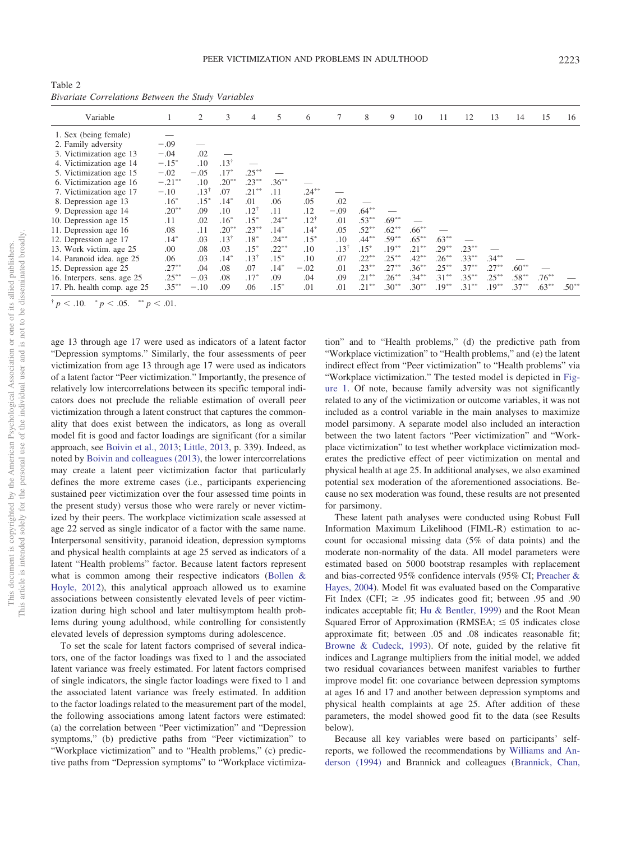<span id="page-4-0"></span>Table 2 *Bivariate Correlations Between the Study Variables*

| Variable                    |           | 2         | 3         | $\overline{4}$  | 5        | 6         |                 | 8        | 9        | 10       | 11       | 12       | 13       | 14       | 15       | 16      |
|-----------------------------|-----------|-----------|-----------|-----------------|----------|-----------|-----------------|----------|----------|----------|----------|----------|----------|----------|----------|---------|
| 1. Sex (being female)       |           |           |           |                 |          |           |                 |          |          |          |          |          |          |          |          |         |
| 2. Family adversity         | $-.09$    |           |           |                 |          |           |                 |          |          |          |          |          |          |          |          |         |
| 3. Victimization age 13     | $-.04$    | .02       |           |                 |          |           |                 |          |          |          |          |          |          |          |          |         |
| 4. Victimization age 14     | $-.15*$   | .10       | $.13^{+}$ |                 |          |           |                 |          |          |          |          |          |          |          |          |         |
| 5. Victimization age 15     | $-.02$    | $-.05$    | $.17*$    | $.25***$        |          |           |                 |          |          |          |          |          |          |          |          |         |
| 6. Victimization age 16     | $-.21***$ | .10       | $.20**$   | $.23***$        | $.36***$ |           |                 |          |          |          |          |          |          |          |          |         |
| 7. Victimization age 17     | $-.10$    | $.13^{+}$ | .07       | $.21***$        | .11      | $.24***$  |                 |          |          |          |          |          |          |          |          |         |
| 8. Depression age 13        | $.16*$    | $.15*$    | $.14*$    | .01             | .06      | .05       | .02             |          |          |          |          |          |          |          |          |         |
| 9. Depression age 14        | $.20**$   | .09       | .10       | $.12^{\dagger}$ | .11      | .12       | $-.09$          | $.64***$ |          |          |          |          |          |          |          |         |
| 10. Depression age 15       | .11       | .02       | $.16*$    | $.15*$          | $.24***$ | $.12^{+}$ | .01             | $.53***$ | $.69**$  |          |          |          |          |          |          |         |
| 11. Depression age 16       | .08       | .11       | $.20**$   | $.23***$        | $.14*$   | $.14*$    | .05             | $.52***$ | $.62**$  | $.66***$ |          |          |          |          |          |         |
| 12. Depression age 17       | $.14*$    | .03       | $.13^{+}$ | $.18*$          | $.24***$ | $.15*$    | .10             | $.44***$ | $.59***$ | $.65***$ | $.63***$ |          |          |          |          |         |
| 13. Work victim. age 25     | .00       | .08       | .03       | $.15*$          | $.22***$ | .10       | $.13^{\dagger}$ | $.15*$   | $.19***$ | $.21***$ | $.29***$ | $.23***$ |          |          |          |         |
| 14. Paranoid idea. age 25   | .06       | .03       | $.14*$    | $.13^{\dagger}$ | $.15*$   | .10       | .07             | $.22***$ | $.25***$ | $.42**$  | $.26***$ | $.33***$ | $.34***$ |          |          |         |
| 15. Depression age 25       | $.27***$  | .04       | .08       | .07             | $.14*$   | $-.02$    | .01             | $.23***$ | $.27***$ | $.36***$ | $.25***$ | $.37***$ | $.27***$ | $.60**$  |          |         |
| 16. Interpers. sens. age 25 | $.25***$  | $-.03$    | .08       | $.17*$          | .09      | .04       | .09             | $.21***$ | $.26***$ | $.34***$ | $.31***$ | $.35***$ | $.25***$ | $.58***$ | $.76***$ |         |
| 17. Ph. health comp. age 25 | $.35***$  | $-.10$    | .09       | .06             | $.15*$   | .01       | .01             | $.21***$ | $.30**$  | $.30**$  | $.19***$ | $.31***$ | $.19***$ | $.37***$ | $.63***$ | $.50**$ |

 $\frac{p}{p}$  < .10.  $\frac{p}{p}$  < .05.  $\frac{p}{p}$  < .01.

age 13 through age 17 were used as indicators of a latent factor "Depression symptoms." Similarly, the four assessments of peer victimization from age 13 through age 17 were used as indicators of a latent factor "Peer victimization." Importantly, the presence of relatively low intercorrelations between its specific temporal indicators does not preclude the reliable estimation of overall peer victimization through a latent construct that captures the commonality that does exist between the indicators, as long as overall model fit is good and factor loadings are significant (for a similar approach, see [Boivin et al., 2013;](#page-8-7) [Little, 2013,](#page-9-26) p. 339). Indeed, as noted by [Boivin and colleagues \(2013\),](#page-8-7) the lower intercorrelations may create a latent peer victimization factor that particularly defines the more extreme cases (i.e., participants experiencing sustained peer victimization over the four assessed time points in the present study) versus those who were rarely or never victimized by their peers. The workplace victimization scale assessed at age 22 served as single indicator of a factor with the same name. Interpersonal sensitivity, paranoid ideation, depression symptoms and physical health complaints at age 25 served as indicators of a latent "Health problems" factor. Because latent factors represent what is common among their respective indicators [\(Bollen &](#page-8-8) [Hoyle, 2012\)](#page-8-8), this analytical approach allowed us to examine associations between consistently elevated levels of peer victimization during high school and later multisymptom health problems during young adulthood, while controlling for consistently elevated levels of depression symptoms during adolescence.

To set the scale for latent factors comprised of several indicators, one of the factor loadings was fixed to 1 and the associated latent variance was freely estimated. For latent factors comprised of single indicators, the single factor loadings were fixed to 1 and the associated latent variance was freely estimated. In addition to the factor loadings related to the measurement part of the model, the following associations among latent factors were estimated: (a) the correlation between "Peer victimization" and "Depression symptoms," (b) predictive paths from "Peer victimization" to "Workplace victimization" and to "Health problems," (c) predictive paths from "Depression symptoms" to "Workplace victimization" and to "Health problems," (d) the predictive path from "Workplace victimization" to "Health problems," and (e) the latent indirect effect from "Peer victimization" to "Health problems" via "Workplace victimization." The tested model is depicted in [Fig](#page-5-0)[ure 1.](#page-5-0) Of note, because family adversity was not significantly related to any of the victimization or outcome variables, it was not included as a control variable in the main analyses to maximize model parsimony. A separate model also included an interaction between the two latent factors "Peer victimization" and "Workplace victimization" to test whether workplace victimization moderates the predictive effect of peer victimization on mental and physical health at age 25. In additional analyses, we also examined potential sex moderation of the aforementioned associations. Because no sex moderation was found, these results are not presented for parsimony.

These latent path analyses were conducted using Robust Full Information Maximum Likelihood (FIML-R) estimation to account for occasional missing data (5% of data points) and the moderate non-normality of the data. All model parameters were estimated based on 5000 bootstrap resamples with replacement and bias-corrected 95% confidence intervals (95% CI; [Preacher &](#page-10-24) [Hayes, 2004\)](#page-10-24). Model fit was evaluated based on the Comparative Fit Index (CFI;  $\geq$  .95 indicates good fit; between .95 and .90 indicates acceptable fit; [Hu & Bentler, 1999\)](#page-9-27) and the Root Mean Squared Error of Approximation (RMSEA;  $\leq 0.05$  indicates close approximate fit; between .05 and .08 indicates reasonable fit; [Browne & Cudeck, 1993\)](#page-9-28). Of note, guided by the relative fit indices and Lagrange multipliers from the initial model, we added two residual covariances between manifest variables to further improve model fit: one covariance between depression symptoms at ages 16 and 17 and another between depression symptoms and physical health complaints at age 25. After addition of these parameters, the model showed good fit to the data (see Results below).

Because all key variables were based on participants' selfreports, we followed the recommendations by [Williams and An](#page-10-25)[derson \(1994\)](#page-10-25) and Brannick and colleagues [\(Brannick, Chan,](#page-8-9)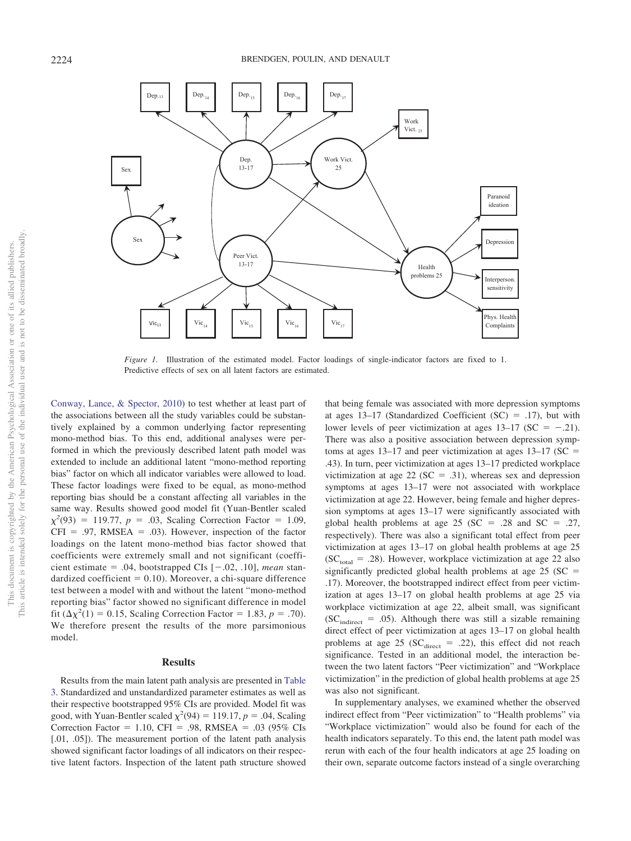

<span id="page-5-0"></span>*Figure 1.* Illustration of the estimated model. Factor loadings of single-indicator factors are fixed to 1. Predictive effects of sex on all latent factors are estimated.

[Conway, Lance, & Spector, 2010\)](#page-8-9) to test whether at least part of the associations between all the study variables could be substantively explained by a common underlying factor representing mono-method bias. To this end, additional analyses were performed in which the previously described latent path model was extended to include an additional latent "mono-method reporting bias" factor on which all indicator variables were allowed to load. These factor loadings were fixed to be equal, as mono-method reporting bias should be a constant affecting all variables in the same way. Results showed good model fit (Yuan-Bentler scaled  $\chi^2(93) = 119.77$ , *p* = .03, Scaling Correction Factor = 1.09,  $CFI = .97$ , RMSEA = .03). However, inspection of the factor loadings on the latent mono-method bias factor showed that coefficients were extremely small and not significant (coefficient estimate  $= .04$ , bootstrapped CIs  $[-.02, .10]$ , *mean* standardized coefficient  $= 0.10$ ). Moreover, a chi-square difference test between a model with and without the latent "mono-method reporting bias" factor showed no significant difference in model fit  $(\Delta \chi^2(1) = 0.15$ , Scaling Correction Factor = 1.83, *p* = .70). We therefore present the results of the more parsimonious model.

## **Results**

Results from the main latent path analysis are presented in [Table](#page-6-0) [3.](#page-6-0) Standardized and unstandardized parameter estimates as well as their respective bootstrapped 95% CIs are provided. Model fit was good, with Yuan-Bentler scaled  $\chi^2(94) = 119.17$ ,  $p = .04$ , Scaling Correction Factor =  $1.10$ , CFI = .98, RMSEA = .03 (95% CIs [.01, .05]). The measurement portion of the latent path analysis showed significant factor loadings of all indicators on their respective latent factors. Inspection of the latent path structure showed

that being female was associated with more depression symptoms at ages  $13-17$  (Standardized Coefficient (SC) = .17), but with lower levels of peer victimization at ages  $13-17$  (SC = -.21). There was also a positive association between depression symptoms at ages  $13-17$  and peer victimization at ages  $13-17$  (SC = .43). In turn, peer victimization at ages 13–17 predicted workplace victimization at age 22 ( $SC = .31$ ), whereas sex and depression symptoms at ages 13–17 were not associated with workplace victimization at age 22. However, being female and higher depression symptoms at ages 13–17 were significantly associated with global health problems at age  $25$  (SC = .28 and SC = .27, respectively). There was also a significant total effect from peer victimization at ages 13–17 on global health problems at age 25  $SC_{\text{total}} = .28$ ). However, workplace victimization at age 22 also significantly predicted global health problems at age  $25$  (SC = .17). Moreover, the bootstrapped indirect effect from peer victimization at ages 13–17 on global health problems at age 25 via workplace victimization at age 22, albeit small, was significant  $SC<sub>indirect</sub> = .05$ . Although there was still a sizable remaining direct effect of peer victimization at ages 13–17 on global health problems at age 25 ( $SC<sub>direct</sub> = .22$ ), this effect did not reach significance. Tested in an additional model, the interaction between the two latent factors "Peer victimization" and "Workplace victimization" in the prediction of global health problems at age 25 was also not significant.

In supplementary analyses, we examined whether the observed indirect effect from "Peer victimization" to "Health problems" via "Workplace victimization" would also be found for each of the health indicators separately. To this end, the latent path model was rerun with each of the four health indicators at age 25 loading on their own, separate outcome factors instead of a single overarching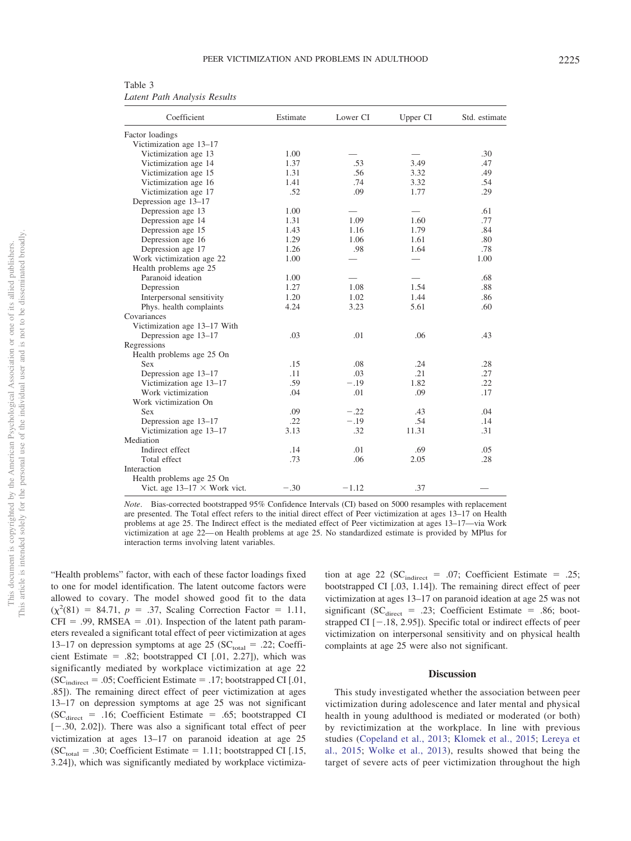<span id="page-6-0"></span>Table 3 *Latent Path Analysis Results*

| Coefficient                         | Estimate | Lower CI | Upper CI                 | Std. estimate |  |
|-------------------------------------|----------|----------|--------------------------|---------------|--|
| Factor loadings                     |          |          |                          |               |  |
| Victimization age 13-17             |          |          |                          |               |  |
| Victimization age 13                | 1.00     |          |                          | .30           |  |
| Victimization age 14                | 1.37     | .53      | 3.49                     | .47           |  |
| Victimization age 15                | 1.31     | .56      | 3.32                     | .49           |  |
| Victimization age 16                | 1.41     | .74      | 3.32                     | .54           |  |
| Victimization age 17                | .52      | .09      | 1.77                     | .29           |  |
| Depression age 13-17                |          |          |                          |               |  |
| Depression age 13                   | 1.00     |          |                          | .61           |  |
| Depression age 14                   | 1.31     | 1.09     | 1.60                     | .77           |  |
| Depression age 15                   | 1.43     | 1.16     | 1.79                     | .84           |  |
| Depression age 16                   | 1.29     | 1.06     | 1.61                     | .80           |  |
| Depression age 17                   | 1.26     | .98      | 1.64                     | .78           |  |
| Work victimization age 22           | 1.00     |          | $\overline{\phantom{0}}$ | 1.00          |  |
| Health problems age 25              |          |          |                          |               |  |
| Paranoid ideation                   | 1.00     |          |                          | .68           |  |
| Depression                          | 1.27     | 1.08     | 1.54                     | .88           |  |
| Interpersonal sensitivity           | 1.20     | 1.02     | 1.44                     | .86           |  |
| Phys. health complaints             | 4.24     | 3.23     | 5.61                     | .60           |  |
| Covariances                         |          |          |                          |               |  |
| Victimization age 13-17 With        |          |          |                          |               |  |
| Depression age 13-17                | .03      | .01      | .06                      | .43           |  |
| Regressions                         |          |          |                          |               |  |
| Health problems age 25 On           |          |          |                          |               |  |
| <b>Sex</b>                          | .15      | .08      | .24                      | .28           |  |
| Depression age 13-17                | .11      | .03      | .21                      | .27           |  |
| Victimization age 13-17             | .59      | $-.19$   | 1.82                     | .22           |  |
| Work victimization                  | .04      | .01      | .09                      | .17           |  |
| Work victimization On               |          |          |                          |               |  |
| <b>Sex</b>                          | .09      | $-.22$   | .43                      | .04           |  |
| Depression age 13-17                | .22      | $-.19$   | .54                      | .14           |  |
| Victimization age 13-17             | 3.13     | .32      | 11.31                    | .31           |  |
| Mediation                           |          |          |                          |               |  |
| Indirect effect                     | .14      | .01      | .69                      | .05           |  |
| Total effect                        | .73      | .06      | 2.05                     | .28           |  |
| Interaction                         |          |          |                          |               |  |
| Health problems age 25 On           |          |          |                          |               |  |
| Vict. age $13-17 \times$ Work vict. | $-.30$   | $-1.12$  | .37                      |               |  |

*Note*. Bias-corrected bootstrapped 95% Confidence Intervals (CI) based on 5000 resamples with replacement are presented. The Total effect refers to the initial direct effect of Peer victimization at ages 13–17 on Health problems at age 25. The Indirect effect is the mediated effect of Peer victimization at ages 13–17—via Work victimization at age 22— on Health problems at age 25. No standardized estimate is provided by MPlus for interaction terms involving latent variables.

"Health problems" factor, with each of these factor loadings fixed to one for model identification. The latent outcome factors were allowed to covary. The model showed good fit to the data  $(\chi^2(81) = 84.71, p = .37,$  Scaling Correction Factor = 1.11,  $CFI = .99$ , RMSEA = .01). Inspection of the latent path parameters revealed a significant total effect of peer victimization at ages 13–17 on depression symptoms at age 25 ( $SC_{total} = .22$ ; Coefficient Estimate  $= .82$ ; bootstrapped CI  $[.01, 2.27]$ ), which was significantly mediated by workplace victimization at age 22  $SC<sub>indirect</sub> = .05$ ; Coefficient Estimate = .17; bootstrapped CI [.01, .85]). The remaining direct effect of peer victimization at ages 13–17 on depression symptoms at age 25 was not significant  $SC<sub>direct</sub> = .16$ ; Coefficient Estimate = .65; bootstrapped CI  $[-.30, 2.02]$ ). There was also a significant total effect of peer victimization at ages 13–17 on paranoid ideation at age 25  $SC<sub>total</sub> = .30$ ; Coefficient Estimate = 1.11; bootstrapped CI [.15, 3.24]), which was significantly mediated by workplace victimiza-

tion at age 22 ( $SC_{indirect} = .07$ ; Coefficient Estimate = .25; bootstrapped CI [.03, 1.14]). The remaining direct effect of peer victimization at ages 13–17 on paranoid ideation at age 25 was not significant ( $SC<sub>direct</sub> = .23$ ; Coefficient Estimate = .86; bootstrapped CI  $[-.18, 2.95]$ ). Specific total or indirect effects of peer victimization on interpersonal sensitivity and on physical health complaints at age 25 were also not significant.

#### **Discussion**

This study investigated whether the association between peer victimization during adolescence and later mental and physical health in young adulthood is mediated or moderated (or both) by revictimization at the workplace. In line with previous studies [\(Copeland et al., 2013;](#page-9-3) [Klomek et al., 2015;](#page-9-18) [Lereya et](#page-9-2) [al., 2015;](#page-9-2) [Wolke et al., 2013\)](#page-10-18), results showed that being the target of severe acts of peer victimization throughout the high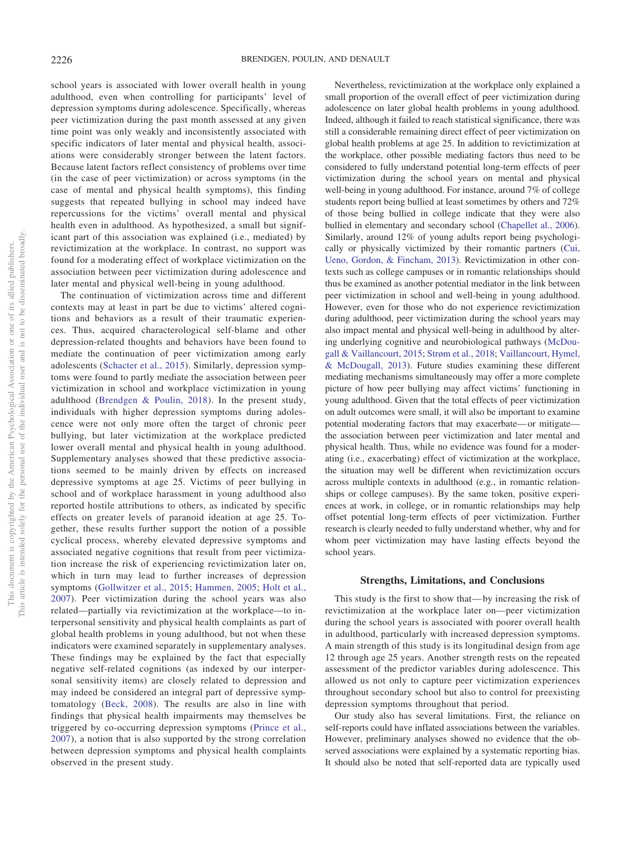school years is associated with lower overall health in young adulthood, even when controlling for participants' level of depression symptoms during adolescence. Specifically, whereas peer victimization during the past month assessed at any given time point was only weakly and inconsistently associated with specific indicators of later mental and physical health, associations were considerably stronger between the latent factors. Because latent factors reflect consistency of problems over time (in the case of peer victimization) or across symptoms (in the case of mental and physical health symptoms), this finding suggests that repeated bullying in school may indeed have repercussions for the victims' overall mental and physical health even in adulthood. As hypothesized, a small but significant part of this association was explained (i.e., mediated) by revictimization at the workplace. In contrast, no support was found for a moderating effect of workplace victimization on the association between peer victimization during adolescence and later mental and physical well-being in young adulthood.

The continuation of victimization across time and different contexts may at least in part be due to victims' altered cognitions and behaviors as a result of their traumatic experiences. Thus, acquired characterological self-blame and other depression-related thoughts and behaviors have been found to mediate the continuation of peer victimization among early adolescents [\(Schacter et al., 2015\)](#page-10-11). Similarly, depression symptoms were found to partly mediate the association between peer victimization in school and workplace victimization in young adulthood [\(Brendgen & Poulin, 2018\)](#page-9-13). In the present study, individuals with higher depression symptoms during adolescence were not only more often the target of chronic peer bullying, but later victimization at the workplace predicted lower overall mental and physical health in young adulthood. Supplementary analyses showed that these predictive associations seemed to be mainly driven by effects on increased depressive symptoms at age 25. Victims of peer bullying in school and of workplace harassment in young adulthood also reported hostile attributions to others, as indicated by specific effects on greater levels of paranoid ideation at age 25. Together, these results further support the notion of a possible cyclical process, whereby elevated depressive symptoms and associated negative cognitions that result from peer victimization increase the risk of experiencing revictimization later on, which in turn may lead to further increases of depression symptoms [\(Gollwitzer et al., 2015;](#page-9-9) [Hammen, 2005;](#page-9-29) [Holt et al.,](#page-9-8) [2007\)](#page-9-8). Peer victimization during the school years was also related—partially via revictimization at the workplace—to interpersonal sensitivity and physical health complaints as part of global health problems in young adulthood, but not when these indicators were examined separately in supplementary analyses. These findings may be explained by the fact that especially negative self-related cognitions (as indexed by our interpersonal sensitivity items) are closely related to depression and may indeed be considered an integral part of depressive symptomatology [\(Beck, 2008\)](#page-8-3). The results are also in line with findings that physical health impairments may themselves be triggered by co-occurring depression symptoms [\(Prince et al.,](#page-10-26) [2007\)](#page-10-26), a notion that is also supported by the strong correlation between depression symptoms and physical health complaints observed in the present study.

Nevertheless, revictimization at the workplace only explained a small proportion of the overall effect of peer victimization during adolescence on later global health problems in young adulthood. Indeed, although it failed to reach statistical significance, there was still a considerable remaining direct effect of peer victimization on global health problems at age 25. In addition to revictimization at the workplace, other possible mediating factors thus need to be considered to fully understand potential long-term effects of peer victimization during the school years on mental and physical well-being in young adulthood. For instance, around 7% of college students report being bullied at least sometimes by others and 72% of those being bullied in college indicate that they were also bullied in elementary and secondary school [\(Chapellet al., 2006\)](#page-9-30). Similarly, around 12% of young adults report being psychologically or physically victimized by their romantic partners [\(Cui,](#page-9-31) [Ueno, Gordon, & Fincham, 2013\)](#page-9-31). Revictimization in other contexts such as college campuses or in romantic relationships should thus be examined as another potential mediator in the link between peer victimization in school and well-being in young adulthood. However, even for those who do not experience revictimization during adulthood, peer victimization during the school years may also impact mental and physical well-being in adulthood by altering underlying cognitive and neurobiological pathways [\(McDou](#page-10-27)[gall & Vaillancourt, 2015;](#page-10-27) [Strøm et al., 2018;](#page-10-7) [Vaillancourt, Hymel,](#page-10-28) [& McDougall, 2013\)](#page-10-28). Future studies examining these different mediating mechanisms simultaneously may offer a more complete picture of how peer bullying may affect victims' functioning in young adulthood. Given that the total effects of peer victimization on adult outcomes were small, it will also be important to examine potential moderating factors that may exacerbate— or mitigate the association between peer victimization and later mental and physical health. Thus, while no evidence was found for a moderating (i.e., exacerbating) effect of victimization at the workplace, the situation may well be different when revictimization occurs across multiple contexts in adulthood (e.g., in romantic relationships or college campuses). By the same token, positive experiences at work, in college, or in romantic relationships may help offset potential long-term effects of peer victimization. Further research is clearly needed to fully understand whether, why and for whom peer victimization may have lasting effects beyond the school years.

## **Strengths, Limitations, and Conclusions**

This study is the first to show that— by increasing the risk of revictimization at the workplace later on—peer victimization during the school years is associated with poorer overall health in adulthood, particularly with increased depression symptoms. A main strength of this study is its longitudinal design from age 12 through age 25 years. Another strength rests on the repeated assessment of the predictor variables during adolescence. This allowed us not only to capture peer victimization experiences throughout secondary school but also to control for preexisting depression symptoms throughout that period.

Our study also has several limitations. First, the reliance on self-reports could have inflated associations between the variables. However, preliminary analyses showed no evidence that the observed associations were explained by a systematic reporting bias. It should also be noted that self-reported data are typically used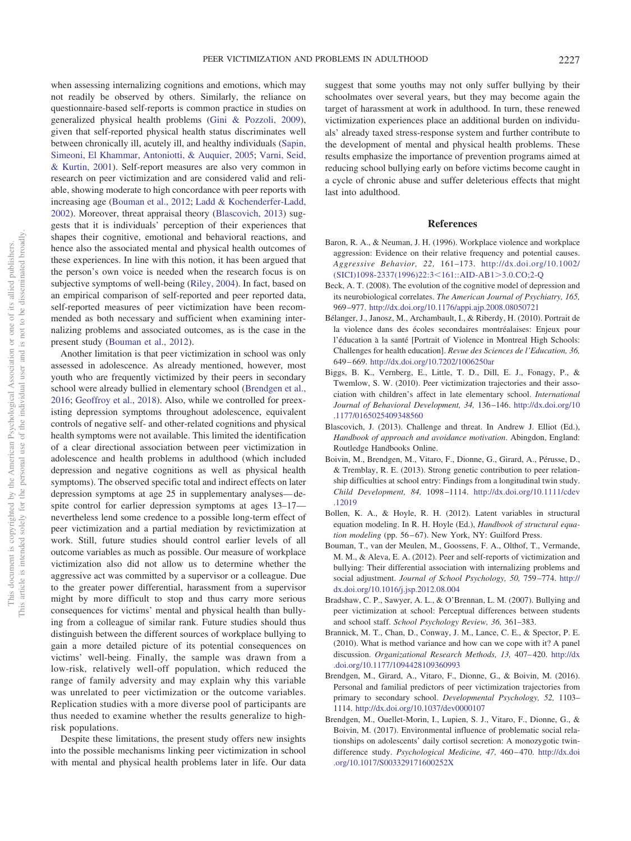when assessing internalizing cognitions and emotions, which may not readily be observed by others. Similarly, the reliance on questionnaire-based self-reports is common practice in studies on generalized physical health problems [\(Gini & Pozzoli, 2009\)](#page-9-1), given that self-reported physical health status discriminates well between chronically ill, acutely ill, and healthy individuals [\(Sapin,](#page-10-29) [Simeoni, El Khammar, Antoniotti, & Auquier, 2005;](#page-10-29) [Varni, Seid,](#page-10-30) [& Kurtin, 2001\)](#page-10-30). Self-report measures are also very common in research on peer victimization and are considered valid and reliable, showing moderate to high concordance with peer reports with increasing age [\(Bouman et al., 2012;](#page-8-10) [Ladd & Kochenderfer-Ladd,](#page-9-32) [2002\)](#page-9-32). Moreover, threat appraisal theory [\(Blascovich, 2013\)](#page-8-11) suggests that it is individuals' perception of their experiences that shapes their cognitive, emotional and behavioral reactions, and hence also the associated mental and physical health outcomes of these experiences. In line with this notion, it has been argued that the person's own voice is needed when the research focus is on subjective symptoms of well-being [\(Riley, 2004\)](#page-10-31). In fact, based on an empirical comparison of self-reported and peer reported data, self-reported measures of peer victimization have been recommended as both necessary and sufficient when examining internalizing problems and associated outcomes, as is the case in the present study [\(Bouman et al., 2012\)](#page-8-10).

Another limitation is that peer victimization in school was only assessed in adolescence. As already mentioned, however, most youth who are frequently victimized by their peers in secondary school were already bullied in elementary school [\(Brendgen et al.,](#page-8-1) [2016;](#page-8-1) [Geoffroy et al., 2018\)](#page-9-10). Also, while we controlled for preexisting depression symptoms throughout adolescence, equivalent controls of negative self- and other-related cognitions and physical health symptoms were not available. This limited the identification of a clear directional association between peer victimization in adolescence and health problems in adulthood (which included depression and negative cognitions as well as physical health symptoms). The observed specific total and indirect effects on later depression symptoms at age 25 in supplementary analyses— despite control for earlier depression symptoms at ages 13–17 nevertheless lend some credence to a possible long-term effect of peer victimization and a partial mediation by revictimization at work. Still, future studies should control earlier levels of all outcome variables as much as possible. Our measure of workplace victimization also did not allow us to determine whether the aggressive act was committed by a supervisor or a colleague. Due to the greater power differential, harassment from a supervisor might by more difficult to stop and thus carry more serious consequences for victims' mental and physical health than bullying from a colleague of similar rank. Future studies should thus distinguish between the different sources of workplace bullying to gain a more detailed picture of its potential consequences on victims' well-being. Finally, the sample was drawn from a low-risk, relatively well-off population, which reduced the range of family adversity and may explain why this variable was unrelated to peer victimization or the outcome variables. Replication studies with a more diverse pool of participants are thus needed to examine whether the results generalize to highrisk populations.

Despite these limitations, the present study offers new insights into the possible mechanisms linking peer victimization in school with mental and physical health problems later in life. Our data suggest that some youths may not only suffer bullying by their schoolmates over several years, but they may become again the target of harassment at work in adulthood. In turn, these renewed victimization experiences place an additional burden on individuals' already taxed stress-response system and further contribute to the development of mental and physical health problems. These results emphasize the importance of prevention programs aimed at reducing school bullying early on before victims become caught in a cycle of chronic abuse and suffer deleterious effects that might last into adulthood.

#### **References**

- <span id="page-8-2"></span>Baron, R. A., & Neuman, J. H. (1996). Workplace violence and workplace aggression: Evidence on their relative frequency and potential causes. *Aggressive Behavior, 22,* 161–173. [http://dx.doi.org/10.1002/](http://dx.doi.org/10.1002/%28SICI%291098-2337%281996%2922:3%3C161::AID-AB1%3E3.0.CO;2-Q) [\(SICI\)1098-2337\(1996\)22:3](http://dx.doi.org/10.1002/%28SICI%291098-2337%281996%2922:3%3C161::AID-AB1%3E3.0.CO;2-Q)<161::AID-AB1>3.0.CO;2-Q
- <span id="page-8-3"></span>Beck, A. T. (2008). The evolution of the cognitive model of depression and its neurobiological correlates. *The American Journal of Psychiatry, 165,* 969 –977. <http://dx.doi.org/10.1176/appi.ajp.2008.08050721>
- <span id="page-8-4"></span>Bélanger, J., Janosz, M., Archambault, I., & Riberdy, H. (2010). Portrait de la violence dans des écoles secondaires montréalaises: Enjeux pour l'éducation a` la santé [Portrait of Violence in Montreal High Schools: Challenges for health education]. *Revue des Sciences de l'Education, 36,* 649 – 669. <http://dx.doi.org/10.7202/1006250ar>
- <span id="page-8-6"></span>Biggs, B. K., Vernberg, E., Little, T. D., Dill, E. J., Fonagy, P., & Twemlow, S. W. (2010). Peer victimization trajectories and their association with children's affect in late elementary school. *International Journal of Behavioral Development, 34,* 136 –146. [http://dx.doi.org/10](http://dx.doi.org/10.1177/0165025409348560) [.1177/0165025409348560](http://dx.doi.org/10.1177/0165025409348560)
- <span id="page-8-11"></span>Blascovich, J. (2013). Challenge and threat. In Andrew J. Elliot (Ed.), *Handbook of approach and avoidance motivation*. Abingdon, England: Routledge Handbooks Online.
- <span id="page-8-7"></span>Boivin, M., Brendgen, M., Vitaro, F., Dionne, G., Girard, A., Pérusse, D., & Tremblay, R. E. (2013). Strong genetic contribution to peer relationship difficulties at school entry: Findings from a longitudinal twin study. *Child Development, 84,* 1098 –1114. [http://dx.doi.org/10.1111/cdev](http://dx.doi.org/10.1111/cdev.12019) [.12019](http://dx.doi.org/10.1111/cdev.12019)
- <span id="page-8-8"></span>Bollen, K. A., & Hoyle, R. H. (2012). Latent variables in structural equation modeling. In R. H. Hoyle (Ed.), *Handbook of structural equa*tion modeling (pp. 56-67). New York, NY: Guilford Press.
- <span id="page-8-10"></span>Bouman, T., van der Meulen, M., Goossens, F. A., Olthof, T., Vermande, M. M., & Aleva, E. A. (2012). Peer and self-reports of victimization and bullying: Their differential association with internalizing problems and social adjustment. *Journal of School Psychology, 50,* 759 –774. [http://](http://dx.doi.org/10.1016/j.jsp.2012.08.004) [dx.doi.org/10.1016/j.jsp.2012.08.004](http://dx.doi.org/10.1016/j.jsp.2012.08.004)
- <span id="page-8-5"></span>Bradshaw, C. P., Sawyer, A. L., & O'Brennan, L. M. (2007). Bullying and peer victimization at school: Perceptual differences between students and school staff. *School Psychology Review, 36,* 361–383.
- <span id="page-8-9"></span>Brannick, M. T., Chan, D., Conway, J. M., Lance, C. E., & Spector, P. E. (2010). What is method variance and how can we cope with it? A panel discussion. *Organizational Research Methods, 13, 407-420*. [http://dx](http://dx.doi.org/10.1177/1094428109360993) [.doi.org/10.1177/1094428109360993](http://dx.doi.org/10.1177/1094428109360993)
- <span id="page-8-1"></span>Brendgen, M., Girard, A., Vitaro, F., Dionne, G., & Boivin, M. (2016). Personal and familial predictors of peer victimization trajectories from primary to secondary school. *Developmental Psychology, 52,* 1103– 1114. <http://dx.doi.org/10.1037/dev0000107>
- <span id="page-8-0"></span>Brendgen, M., Ouellet-Morin, I., Lupien, S. J., Vitaro, F., Dionne, G., & Boivin, M. (2017). Environmental influence of problematic social relationships on adolescents' daily cortisol secretion: A monozygotic twindifference study. Psychological Medicine, 47, 460-470. [http://dx.doi](http://dx.doi.org/10.1017/S003329171600252X) [.org/10.1017/S003329171600252X](http://dx.doi.org/10.1017/S003329171600252X)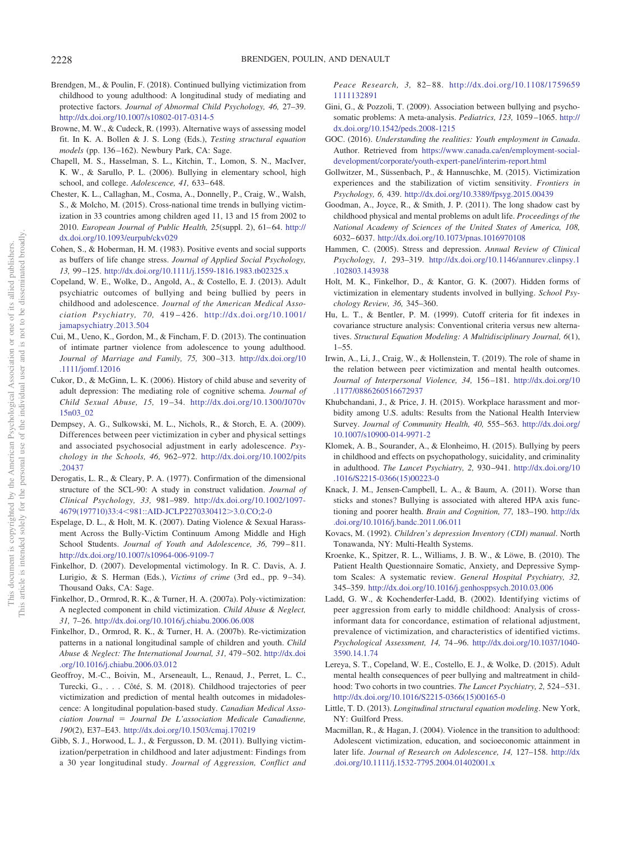- <span id="page-9-13"></span>Brendgen, M., & Poulin, F. (2018). Continued bullying victimization from childhood to young adulthood: A longitudinal study of mediating and protective factors. *Journal of Abnormal Child Psychology, 46,* 27–39. <http://dx.doi.org/10.1007/s10802-017-0314-5>
- <span id="page-9-28"></span>Browne, M. W., & Cudeck, R. (1993). Alternative ways of assessing model fit. In K. A. Bollen & J. S. Long (Eds.), *Testing structural equation* models (pp. 136-162). Newbury Park, CA: Sage.
- <span id="page-9-30"></span>Chapell, M. S., Hasselman, S. L., Kitchin, T., Lomon, S. N., MacIver, K. W., & Sarullo, P. L. (2006). Bullying in elementary school, high school, and college. *Adolescence, 41,* 633– 648.
- <span id="page-9-0"></span>Chester, K. L., Callaghan, M., Cosma, A., Donnelly, P., Craig, W., Walsh, S., & Molcho, M. (2015). Cross-national time trends in bullying victimization in 33 countries among children aged 11, 13 and 15 from 2002 to 2010. *European Journal of Public Health, 25*(suppl. 2), 61-64. [http://](http://dx.doi.org/10.1093/eurpub/ckv029) [dx.doi.org/10.1093/eurpub/ckv029](http://dx.doi.org/10.1093/eurpub/ckv029)
- <span id="page-9-23"></span>Cohen, S., & Hoberman, H. M. (1983). Positive events and social supports as buffers of life change stress. *Journal of Applied Social Psychology, 13,* 99 –125. <http://dx.doi.org/10.1111/j.1559-1816.1983.tb02325.x>
- <span id="page-9-3"></span>Copeland, W. E., Wolke, D., Angold, A., & Costello, E. J. (2013). Adult psychiatric outcomes of bullying and being bullied by peers in childhood and adolescence. *Journal of the American Medical Association Psychiatry, 70,* 419 – 426. [http://dx.doi.org/10.1001/](http://dx.doi.org/10.1001/jamapsychiatry.2013.504) [jamapsychiatry.2013.504](http://dx.doi.org/10.1001/jamapsychiatry.2013.504)
- <span id="page-9-31"></span>Cui, M., Ueno, K., Gordon, M., & Fincham, F. D. (2013). The continuation of intimate partner violence from adolescence to young adulthood. *Journal of Marriage and Family, 75,* 300 –313. [http://dx.doi.org/10](http://dx.doi.org/10.1111/jomf.12016) [.1111/jomf.12016](http://dx.doi.org/10.1111/jomf.12016)
- <span id="page-9-16"></span>Cukor, D., & McGinn, L. K. (2006). History of child abuse and severity of adult depression: The mediating role of cognitive schema. *Journal of Child Sexual Abuse, 15,* 19 –34. [http://dx.doi.org/10.1300/J070v](http://dx.doi.org/10.1300/J070v15n03_02) [15n03\\_02](http://dx.doi.org/10.1300/J070v15n03_02)
- <span id="page-9-24"></span>Dempsey, A. G., Sulkowski, M. L., Nichols, R., & Storch, E. A. (2009). Differences between peer victimization in cyber and physical settings and associated psychosocial adjustment in early adolescence. *Psychology in the Schools, 46,* 962–972. [http://dx.doi.org/10.1002/pits](http://dx.doi.org/10.1002/pits.20437) [.20437](http://dx.doi.org/10.1002/pits.20437)
- <span id="page-9-22"></span>Derogatis, L. R., & Cleary, P. A. (1977). Confirmation of the dimensional structure of the SCL-90: A study in construct validation. *Journal of Clinical Psychology, 33,* 981–989. [http://dx.doi.org/10.1002/1097-](http://dx.doi.org/10.1002/1097-4679%28197710%2933:4%3C981::AID-JCLP2270330412%3E3.0.CO;2-0) 4679(197710)33:4<[981::AID-JCLP2270330412](http://dx.doi.org/10.1002/1097-4679%28197710%2933:4%3C981::AID-JCLP2270330412%3E3.0.CO;2-0)>3.0.CO;2-0
- <span id="page-9-11"></span>Espelage, D. L., & Holt, M. K. (2007). Dating Violence & Sexual Harassment Across the Bully-Victim Continuum Among Middle and High School Students. *Journal of Youth and Adolescence*, 36, 799-811. <http://dx.doi.org/10.1007/s10964-006-9109-7>
- <span id="page-9-7"></span>Finkelhor, D. (2007). Developmental victimology. In R. C. Davis, A. J. Lurigio, & S. Herman (Eds.), *Victims of crime* (3rd ed., pp. 9-34). Thousand Oaks, CA: Sage.
- <span id="page-9-14"></span>Finkelhor, D., Ormrod, R. K., & Turner, H. A. (2007a). Poly-victimization: A neglected component in child victimization. *Child Abuse & Neglect, 31,* 7–26. <http://dx.doi.org/10.1016/j.chiabu.2006.06.008>
- <span id="page-9-12"></span>Finkelhor, D., Ormrod, R. K., & Turner, H. A. (2007b). Re-victimization patterns in a national longitudinal sample of children and youth. *Child Abuse & Neglect: The International Journal, 31,* 479 –502. [http://dx.doi](http://dx.doi.org/10.1016/j.chiabu.2006.03.012) [.org/10.1016/j.chiabu.2006.03.012](http://dx.doi.org/10.1016/j.chiabu.2006.03.012)
- <span id="page-9-10"></span>Geoffroy, M.-C., Boivin, M., Arseneault, L., Renaud, J., Perret, L. C., Turecki, G.,... Côté, S. M. (2018). Childhood trajectories of peer victimization and prediction of mental health outcomes in midadolescence: A longitudinal population-based study. *Canadian Medical Association Journal* - *Journal De L'association Medicale Canadienne, 190*(2), E37–E43. <http://dx.doi.org/10.1503/cmaj.170219>
- <span id="page-9-4"></span>Gibb, S. J., Horwood, L. J., & Fergusson, D. M. (2011). Bullying victimization/perpetration in childhood and later adjustment: Findings from a 30 year longitudinal study. *Journal of Aggression, Conflict and*

*Peace Research, 3,* 82– 88. [http://dx.doi.org/10.1108/1759659](http://dx.doi.org/10.1108/17596591111132891) [1111132891](http://dx.doi.org/10.1108/17596591111132891)

- <span id="page-9-1"></span>Gini, G., & Pozzoli, T. (2009). Association between bullying and psychosomatic problems: A meta-analysis. *Pediatrics, 123,* 1059 –1065. [http://](http://dx.doi.org/10.1542/peds.2008-1215) [dx.doi.org/10.1542/peds.2008-1215](http://dx.doi.org/10.1542/peds.2008-1215)
- <span id="page-9-20"></span>GOC. (2016). *Understanding the realities: Youth employment in Canada*. Author. Retrieved from [https://www.canada.ca/en/employment-social](https://www.canada.ca/en/employment-social-development/corporate/youth-expert-panel/interim-report.html)[development/corporate/youth-expert-panel/interim-report.html](https://www.canada.ca/en/employment-social-development/corporate/youth-expert-panel/interim-report.html)
- <span id="page-9-9"></span>Gollwitzer, M., Süssenbach, P., & Hannuschke, M. (2015). Victimization experiences and the stabilization of victim sensitivity. *Frontiers in Psychology, 6,* 439. <http://dx.doi.org/10.3389/fpsyg.2015.00439>
- <span id="page-9-17"></span>Goodman, A., Joyce, R., & Smith, J. P. (2011). The long shadow cast by childhood physical and mental problems on adult life. *Proceedings of the National Academy of Sciences of the United States of America, 108,* 6032– 6037. <http://dx.doi.org/10.1073/pnas.1016970108>
- <span id="page-9-29"></span>Hammen, C. (2005). Stress and depression. *Annual Review of Clinical Psychology, 1,* 293–319. [http://dx.doi.org/10.1146/annurev.clinpsy.1](http://dx.doi.org/10.1146/annurev.clinpsy.1.102803.143938) [.102803.143938](http://dx.doi.org/10.1146/annurev.clinpsy.1.102803.143938)
- <span id="page-9-8"></span>Holt, M. K., Finkelhor, D., & Kantor, G. K. (2007). Hidden forms of victimization in elementary students involved in bullying. *School Psychology Review, 36,* 345–360.
- <span id="page-9-27"></span>Hu, L. T., & Bentler, P. M. (1999). Cutoff criteria for fit indexes in covariance structure analysis: Conventional criteria versus new alternatives. *Structural Equation Modeling: A Multidisciplinary Journal, 6*(1), 1–55.
- <span id="page-9-5"></span>Irwin, A., Li, J., Craig, W., & Hollenstein, T. (2019). The role of shame in the relation between peer victimization and mental health outcomes. *Journal of Interpersonal Violence, 34,* 156 –181. [http://dx.doi.org/10](http://dx.doi.org/10.1177/0886260516672937) [.1177/0886260516672937](http://dx.doi.org/10.1177/0886260516672937)
- <span id="page-9-25"></span>Khubchandani, J., & Price, J. H. (2015). Workplace harassment and morbidity among U.S. adults: Results from the National Health Interview Survey. *Journal of Community Health, 40,* 555–563. [http://dx.doi.org/](http://dx.doi.org/10.1007/s10900-014-9971-2) [10.1007/s10900-014-9971-2](http://dx.doi.org/10.1007/s10900-014-9971-2)
- <span id="page-9-18"></span>Klomek, A. B., Sourander, A., & Elonheimo, H. (2015). Bullying by peers in childhood and effects on psychopathology, suicidality, and criminality in adulthood. *The Lancet Psychiatry, 2,* 930 –941. [http://dx.doi.org/10](http://dx.doi.org/10.1016/S2215-0366%2815%2900223-0) [.1016/S2215-0366\(15\)00223-0](http://dx.doi.org/10.1016/S2215-0366%2815%2900223-0)
- <span id="page-9-6"></span>Knack, J. M., Jensen-Campbell, L. A., & Baum, A. (2011). Worse than sticks and stones? Bullying is associated with altered HPA axis functioning and poorer health. *Brain and Cognition, 77,* 183–190. [http://dx](http://dx.doi.org/10.1016/j.bandc.2011.06.011) [.doi.org/10.1016/j.bandc.2011.06.011](http://dx.doi.org/10.1016/j.bandc.2011.06.011)
- <span id="page-9-21"></span>Kovacs, M. (1992). *Children's depression Inventory (CDI) manual*. North Tonawanda, NY: Multi-Health Systems.
- <span id="page-9-15"></span>Kroenke, K., Spitzer, R. L., Williams, J. B. W., & Löwe, B. (2010). The Patient Health Questionnaire Somatic, Anxiety, and Depressive Symptom Scales: A systematic review. *General Hospital Psychiatry, 32,* 345–359. <http://dx.doi.org/10.1016/j.genhosppsych.2010.03.006>
- <span id="page-9-32"></span>Ladd, G. W., & Kochenderfer-Ladd, B. (2002). Identifying victims of peer aggression from early to middle childhood: Analysis of crossinformant data for concordance, estimation of relational adjustment, prevalence of victimization, and characteristics of identified victims. *Psychological Assessment, 14,* 74 –96. [http://dx.doi.org/10.1037/1040-](http://dx.doi.org/10.1037/1040-3590.14.1.74) [3590.14.1.74](http://dx.doi.org/10.1037/1040-3590.14.1.74)
- <span id="page-9-2"></span>Lereya, S. T., Copeland, W. E., Costello, E. J., & Wolke, D. (2015). Adult mental health consequences of peer bullying and maltreatment in childhood: Two cohorts in two countries. *The Lancet Psychiatry, 2,* 524 –531. [http://dx.doi.org/10.1016/S2215-0366\(15\)00165-0](http://dx.doi.org/10.1016/S2215-0366%2815%2900165-0)
- <span id="page-9-26"></span>Little, T. D. (2013). *Longitudinal structural equation modeling*. New York, NY: Guilford Press.
- <span id="page-9-19"></span>Macmillan, R., & Hagan, J. (2004). Violence in the transition to adulthood: Adolescent victimization, education, and socioeconomic attainment in later life. *Journal of Research on Adolescence, 14,* 127–158. [http://dx](http://dx.doi.org/10.1111/j.1532-7795.2004.01402001.x) [.doi.org/10.1111/j.1532-7795.2004.01402001.x](http://dx.doi.org/10.1111/j.1532-7795.2004.01402001.x)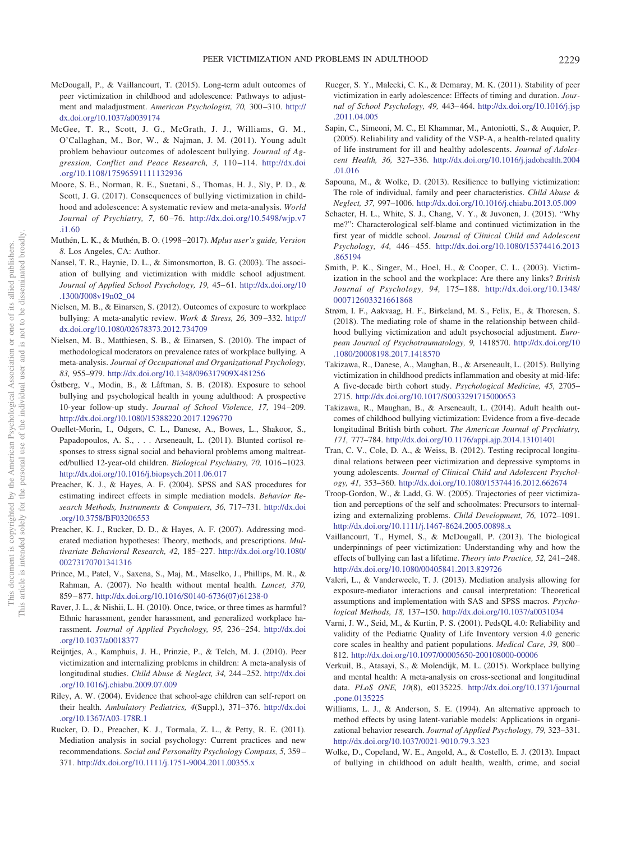- <span id="page-10-27"></span>McDougall, P., & Vaillancourt, T. (2015). Long-term adult outcomes of peer victimization in childhood and adolescence: Pathways to adjustment and maladjustment. *American Psychologist, 70,* 300 –310. [http://](http://dx.doi.org/10.1037/a0039174) [dx.doi.org/10.1037/a0039174](http://dx.doi.org/10.1037/a0039174)
- <span id="page-10-4"></span>McGee, T. R., Scott, J. G., McGrath, J. J., Williams, G. M., O'Callaghan, M., Bor, W., & Najman, J. M. (2011). Young adult problem behaviour outcomes of adolescent bullying. *Journal of Aggression, Conflict and Peace Research, 3,* 110 –114. [http://dx.doi](http://dx.doi.org/10.1108/17596591111132936) [.org/10.1108/17596591111132936](http://dx.doi.org/10.1108/17596591111132936)
- <span id="page-10-0"></span>Moore, S. E., Norman, R. E., Suetani, S., Thomas, H. J., Sly, P. D., & Scott, J. G. (2017). Consequences of bullying victimization in childhood and adolescence: A systematic review and meta-analysis. *World Journal of Psychiatry, 7,* 60 –76. [http://dx.doi.org/10.5498/wjp.v7](http://dx.doi.org/10.5498/wjp.v7.i1.60) [.i1.60](http://dx.doi.org/10.5498/wjp.v7.i1.60)
- <span id="page-10-23"></span>Muthén, L. K., & Muthén, B. O. (1998 –2017). *Mplus user's guide, Version 8*. Los Angeles, CA: Author.
- <span id="page-10-19"></span>Nansel, T. R., Haynie, D. L., & Simonsmorton, B. G. (2003). The association of bullying and victimization with middle school adjustment. Journal of Applied School Psychology, 19, 45-61. [http://dx.doi.org/10](http://dx.doi.org/10.1300/J008v19n02_04) [.1300/J008v19n02\\_04](http://dx.doi.org/10.1300/J008v19n02_04)
- <span id="page-10-13"></span>Nielsen, M. B., & Einarsen, S. (2012). Outcomes of exposure to workplace bullying: A meta-analytic review. *Work & Stress, 26,* 309 –332. [http://](http://dx.doi.org/10.1080/02678373.2012.734709) [dx.doi.org/10.1080/02678373.2012.734709](http://dx.doi.org/10.1080/02678373.2012.734709)
- <span id="page-10-12"></span>Nielsen, M. B., Matthiesen, S. B., & Einarsen, S. (2010). The impact of methodological moderators on prevalence rates of workplace bullying. A meta-analysis. *Journal of Occupational and Organizational Psychology, 83,* 955–979. <http://dx.doi.org/10.1348/096317909X481256>
- <span id="page-10-5"></span>Östberg, V., Modin, B., & Låftman, S. B. (2018). Exposure to school bullying and psychological health in young adulthood: A prospective 10-year follow-up study. *Journal of School Violence, 17,* 194 –209. <http://dx.doi.org/10.1080/15388220.2017.1296770>
- <span id="page-10-9"></span>Ouellet-Morin, I., Odgers, C. L., Danese, A., Bowes, L., Shakoor, S., Papadopoulos, A. S.,... Arseneault, L. (2011). Blunted cortisol responses to stress signal social and behavioral problems among maltreated/bullied 12-year-old children. *Biological Psychiatry, 70,* 1016 –1023. <http://dx.doi.org/10.1016/j.biopsych.2011.06.017>
- <span id="page-10-24"></span>Preacher, K. J., & Hayes, A. F. (2004). SPSS and SAS procedures for estimating indirect effects in simple mediation models. *Behavior Research Methods, Instruments & Computers, 36,* 717–731. [http://dx.doi](http://dx.doi.org/10.3758/BF03206553) [.org/10.3758/BF03206553](http://dx.doi.org/10.3758/BF03206553)
- <span id="page-10-15"></span>Preacher, K. J., Rucker, D. D., & Hayes, A. F. (2007). Addressing moderated mediation hypotheses: Theory, methods, and prescriptions. *Multivariate Behavioral Research, 42,* 185–227. [http://dx.doi.org/10.1080/](http://dx.doi.org/10.1080/00273170701341316) [00273170701341316](http://dx.doi.org/10.1080/00273170701341316)
- <span id="page-10-26"></span>Prince, M., Patel, V., Saxena, S., Maj, M., Maselko, J., Phillips, M. R., & Rahman, A. (2007). No health without mental health. *Lancet, 370,* 859 – 877. [http://dx.doi.org/10.1016/S0140-6736\(07\)61238-0](http://dx.doi.org/10.1016/S0140-6736%2807%2961238-0)
- <span id="page-10-21"></span>Raver, J. L., & Nishii, L. H. (2010). Once, twice, or three times as harmful? Ethnic harassment, gender harassment, and generalized workplace harassment. *Journal of Applied Psychology, 95,* 236 –254. [http://dx.doi](http://dx.doi.org/10.1037/a0018377) [.org/10.1037/a0018377](http://dx.doi.org/10.1037/a0018377)
- <span id="page-10-1"></span>Reijntjes, A., Kamphuis, J. H., Prinzie, P., & Telch, M. J. (2010). Peer victimization and internalizing problems in children: A meta-analysis of longitudinal studies. *Child Abuse & Neglect, 34,* 244 –252. [http://dx.doi](http://dx.doi.org/10.1016/j.chiabu.2009.07.009) [.org/10.1016/j.chiabu.2009.07.009](http://dx.doi.org/10.1016/j.chiabu.2009.07.009)
- <span id="page-10-31"></span>Riley, A. W. (2004). Evidence that school-age children can self-report on their health. *Ambulatory Pediatrics, 4*(Suppl.), 371–376. [http://dx.doi](http://dx.doi.org/10.1367/A03-178R.1) [.org/10.1367/A03-178R.1](http://dx.doi.org/10.1367/A03-178R.1)
- <span id="page-10-6"></span>Rucker, D. D., Preacher, K. J., Tormala, Z. L., & Petty, R. E. (2011). Mediation analysis in social psychology: Current practices and new recommendations. *Social and Personality Psychology Compass, 5,* 359 – 371. <http://dx.doi.org/10.1111/j.1751-9004.2011.00355.x>
- <span id="page-10-22"></span>Rueger, S. Y., Malecki, C. K., & Demaray, M. K. (2011). Stability of peer victimization in early adolescence: Effects of timing and duration. *Journal of School Psychology, 49,* 443– 464. [http://dx.doi.org/10.1016/j.jsp](http://dx.doi.org/10.1016/j.jsp.2011.04.005) [.2011.04.005](http://dx.doi.org/10.1016/j.jsp.2011.04.005)
- <span id="page-10-29"></span>Sapin, C., Simeoni, M. C., El Khammar, M., Antoniotti, S., & Auquier, P. (2005). Reliability and validity of the VSP-A, a health-related quality of life instrument for ill and healthy adolescents. *Journal of Adolescent Health, 36,* 327–336. [http://dx.doi.org/10.1016/j.jadohealth.2004](http://dx.doi.org/10.1016/j.jadohealth.2004.01.016) [.01.016](http://dx.doi.org/10.1016/j.jadohealth.2004.01.016)
- <span id="page-10-20"></span>Sapouna, M., & Wolke, D. (2013). Resilience to bullying victimization: The role of individual, family and peer characteristics. *Child Abuse & Neglect, 37,* 997–1006. <http://dx.doi.org/10.1016/j.chiabu.2013.05.009>
- <span id="page-10-11"></span>Schacter, H. L., White, S. J., Chang, V. Y., & Juvonen, J. (2015). "Why me?": Characterological self-blame and continued victimization in the first year of middle school. *Journal of Clinical Child and Adolescent Psychology, 44,* 446 – 455. [http://dx.doi.org/10.1080/15374416.2013](http://dx.doi.org/10.1080/15374416.2013.865194) [.865194](http://dx.doi.org/10.1080/15374416.2013.865194)
- <span id="page-10-10"></span>Smith, P. K., Singer, M., Hoel, H., & Cooper, C. L. (2003). Victimization in the school and the workplace: Are there any links? *British Journal of Psychology, 94,* 175–188. [http://dx.doi.org/10.1348/](http://dx.doi.org/10.1348/000712603321661868) [000712603321661868](http://dx.doi.org/10.1348/000712603321661868)
- <span id="page-10-7"></span>Strøm, I. F., Aakvaag, H. F., Birkeland, M. S., Felix, E., & Thoresen, S. (2018). The mediating role of shame in the relationship between childhood bullying victimization and adult psychosocial adjustment. *European Journal of Psychotraumatology, 9,* 1418570. [http://dx.doi.org/10](http://dx.doi.org/10.1080/20008198.2017.1418570) [.1080/20008198.2017.1418570](http://dx.doi.org/10.1080/20008198.2017.1418570)
- <span id="page-10-3"></span>Takizawa, R., Danese, A., Maughan, B., & Arseneault, L. (2015). Bullying victimization in childhood predicts inflammation and obesity at mid-life: A five-decade birth cohort study. *Psychological Medicine, 45,* 2705– 2715. <http://dx.doi.org/10.1017/S0033291715000653>
- <span id="page-10-2"></span>Takizawa, R., Maughan, B., & Arseneault, L. (2014). Adult health outcomes of childhood bullying victimization: Evidence from a five-decade longitudinal British birth cohort. *The American Journal of Psychiatry, 171,* 777–784. <http://dx.doi.org/10.1176/appi.ajp.2014.13101401>
- <span id="page-10-17"></span>Tran, C. V., Cole, D. A., & Weiss, B. (2012). Testing reciprocal longitudinal relations between peer victimization and depressive symptoms in young adolescents. *Journal of Clinical Child and Adolescent Psychology, 41,* 353–360. <http://dx.doi.org/10.1080/15374416.2012.662674>
- <span id="page-10-8"></span>Troop-Gordon, W., & Ladd, G. W. (2005). Trajectories of peer victimization and perceptions of the self and schoolmates: Precursors to internalizing and externalizing problems. *Child Development, 76,* 1072–1091. <http://dx.doi.org/10.1111/j.1467-8624.2005.00898.x>
- <span id="page-10-28"></span>Vaillancourt, T., Hymel, S., & McDougall, P. (2013). The biological underpinnings of peer victimization: Understanding why and how the effects of bullying can last a lifetime. *Theory into Practice, 52,* 241–248. <http://dx.doi.org/10.1080/00405841.2013.829726>
- <span id="page-10-16"></span>Valeri, L., & Vanderweele, T. J. (2013). Mediation analysis allowing for exposure-mediator interactions and causal interpretation: Theoretical assumptions and implementation with SAS and SPSS macros. *Psychological Methods, 18,* 137–150. <http://dx.doi.org/10.1037/a0031034>
- <span id="page-10-30"></span>Varni, J. W., Seid, M., & Kurtin, P. S. (2001). PedsQL 4.0: Reliability and validity of the Pediatric Quality of Life Inventory version 4.0 generic core scales in healthy and patient populations. *Medical Care, 39,* 800 – 812. <http://dx.doi.org/10.1097/00005650-200108000-00006>
- <span id="page-10-14"></span>Verkuil, B., Atasayi, S., & Molendijk, M. L. (2015). Workplace bullying and mental health: A meta-analysis on cross-sectional and longitudinal data. *PLoS ONE, 10*(8), e0135225. [http://dx.doi.org/10.1371/journal](http://dx.doi.org/10.1371/journal.pone.0135225) [.pone.0135225](http://dx.doi.org/10.1371/journal.pone.0135225)
- <span id="page-10-25"></span>Williams, L. J., & Anderson, S. E. (1994). An alternative approach to method effects by using latent-variable models: Applications in organizational behavior research. *Journal of Applied Psychology, 79,* 323–331. <http://dx.doi.org/10.1037/0021-9010.79.3.323>
- <span id="page-10-18"></span>Wolke, D., Copeland, W. E., Angold, A., & Costello, E. J. (2013). Impact of bullying in childhood on adult health, wealth, crime, and social